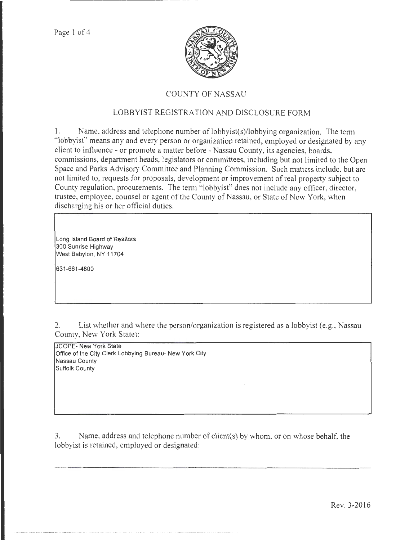

## COUNTY OF NASSAU

## LOBBYIST REGISTRATION AND DISCLOSURE FORM

1. Name, address and telephone number of lobbyist(s)/lobbying organization. The term "lobbyist" means any and every person or organization retained, employed or designated by any client to influence- or promote a matter before- Nassau County, its agencies, boards, commissions, department heads, legislators or committees, including but not limited to the Open Space and Parks Advisory Committee and Planning Commission. Such matters include, but arc not limited to, requests for proposals, development or improvement of real property subject to County regulation, procurements. The tenn "lobbyist" does not include any officer, director, trustee, employee, counsel or agent of the County of Nassau, or State of New York, when discharging his or her official duties.

Long Island Board of Realtors 300 Sunrise Highway West Babylon, NY 11704

631-661-4800

2. List whether and where the person/organization is registered as a lobbyist (e.g., Nassau County, New York State):

JCOPE- New York State Office of the City Clerk Lobbying Bureau- New York City Nassau County Suffolk County

3. Name, address and telephone number of client(s) by whom, or on whose behalf. the lobbyist is retained, employed or designated:

 $\label{eq:convergence} \mathcal{L}^{(1)}(x,y) = \mathcal{L}^{(1)}(x,y) = \mathcal{L}^{(1)}(x,y) = \mathcal{L}^{(1)}(x,y) = \mathcal{L}^{(1)}(x,y) = \mathcal{L}^{(1)}(x,y) = \mathcal{L}^{(1)}(x,y) = \mathcal{L}^{(1)}(x,y) = \mathcal{L}^{(1)}(x,y) = \mathcal{L}^{(1)}(x,y) = \mathcal{L}^{(1)}(x,y) = \mathcal{L}^{(1)}(x,y) = \mathcal{L}^{(1)}(x,y) = \mathcal{L}^{(1)}(x,y) = \math$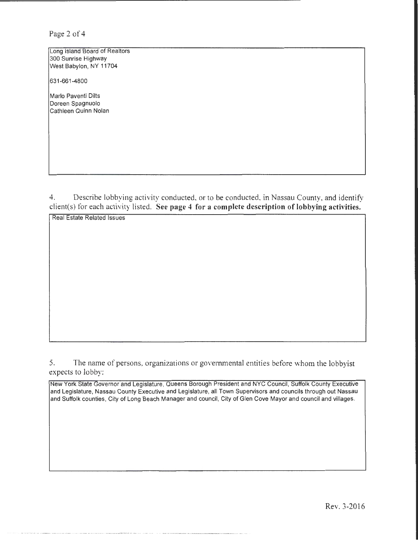Page 2 of 4

Long Island Board of Realtors 300 Sunrise Highway West Babylon, NY 11704

631-661-4800

Marlo Paventi Dilts Doreen Spagnuolo Cathleen Quinn Nolan

4. Describe lobbying activity conducted, or to be conducted, in Nassau County, and identify client(s) for each activity listed. See page 4 for a complete description of lobbying activities.

Real Estate Related Issues

5. The name of persons, organizations or governmental entities before whom the lobbyist expects to lobby:

New York State Governor and Legislature, Queens Borough President and NYC Council, Suffolk County Executive and Legislature, Nassau County Executive and Legislature, all Town Supervisors and councils through out Nassau and Suffolk counties, City of Long Beach Manager and council, City of Glen Cove Mayor and council and villages.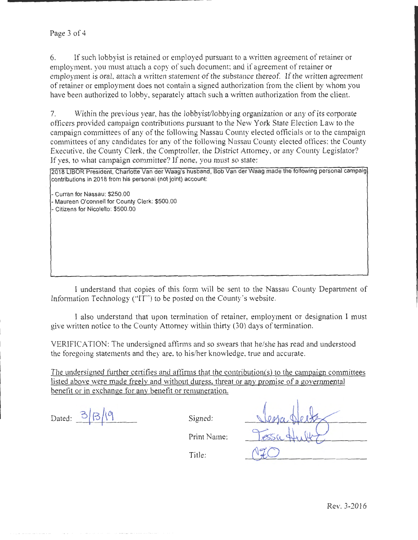## Page 3 of 4

6. If such lobbyist is retained or employed pursuant to a written agreement of retainer or employment, you must attach a copy of such document; and if agreement of retainer or employment is oral, attach a written statement of the substance thereof. If the written agreement of retainer or employment does not contain a signed authorization from the client by whom you have been authorized to lobby, separately attach such a written authorization from the client.

7. Within the previous year, has the lobbyist/lobbying organization or any of its corporate officers provided campaign contributions pursuant to the New York State Election Law to the campaign committees of any of the following Nassau County elected officials or to the campaign committees of any candidates for any of the following Nassau County elected offices: the County Executive, the County Clerk, the Comptroller, the District Attorney, or any County Legislator? If yes, to what campaign committee? If none, you must so state:

2018 LIBOR President, Charlotte Vander Waag's husband, Bob Vander Waag made the following personal campaig contributions in 2018 from his personal (not joint) account:

-Curran for Nassau: \$250.00 -Maureen O'connell for County Clerk: \$500.00 Citizens for Nicolello: \$500.00

......... \_\_\_\_\_\_\_\_\_\_\_\_ \_

I understand that copies of this form will be sent to the Nassau County Department of Information Technology ("IT") to be posted on the County's website.

I also understand that upon termination of retainer, employment or designation I must give written notice to the County Attorney within thirty (30) days of termination.

VERIFICATION: The undersigned affirms and so swears that he/she has read and understood the foregoing statements and they are, to his/her knowledge. true and accurate.

The undersigned further certifies and affirms that the contribution(s) to the campaign committees listed above were made freely and without duress. threat or any promise of a governmental benefit or in exchange for any benefit or remuneration.

Dated:  $\frac{3}{\beta}$ 

Signed:

Print Name:

Title: